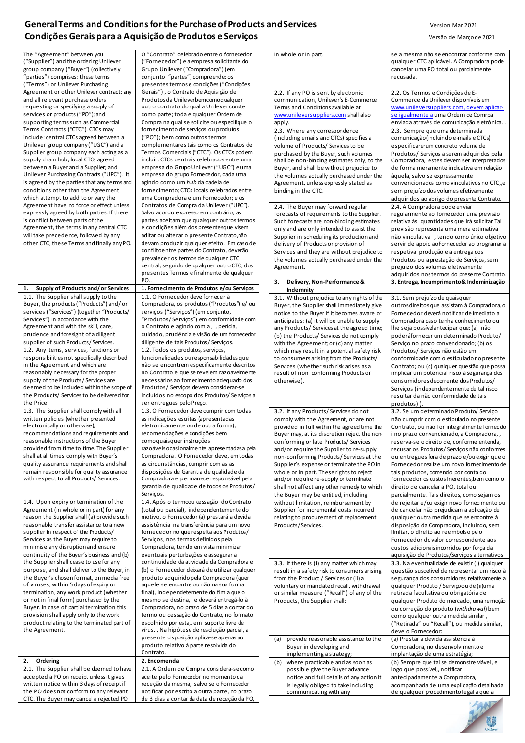## **General Terms and Conditions for the Purchase of Products and Services** Version Mar 2021 Condições Gerais para a Aquisição de Produtos e Serviços **Versão de Março de 2021** Versão de Março de 2021

| The "Agreement" between you<br>("Supplier") and the ordering Unilever<br>group company ("Buyer") (collectively<br>"parties") comprises: these terms<br>("Terms") or Unilever Purchasing                                                                                                                                                                                                                                                                                                                                                                                                                     | O "Contrato" celebrado entre o fornecedor<br>("Fornecedor") e a empresa solicitante do<br>Grupo Unilever ("Compradora") (em<br>conjunto "partes") compreende: os<br>presentes termos e condições ("Condições                                                                                                                                                                                                                                                                                                                                                                                                                                      | in whole or in part.                                                                                                                                                                                                                                                                                                                                                                                                                                                                                                                                                                                                   | se a mesma não se encontrar conforme com<br>qualquer CTC aplicável. A Compradora pode<br>cancelar uma PO total ou parcialmente<br>recusada.                                                                                                                                                                                                                                                                                                                                                                                                                                                                                                       |
|-------------------------------------------------------------------------------------------------------------------------------------------------------------------------------------------------------------------------------------------------------------------------------------------------------------------------------------------------------------------------------------------------------------------------------------------------------------------------------------------------------------------------------------------------------------------------------------------------------------|---------------------------------------------------------------------------------------------------------------------------------------------------------------------------------------------------------------------------------------------------------------------------------------------------------------------------------------------------------------------------------------------------------------------------------------------------------------------------------------------------------------------------------------------------------------------------------------------------------------------------------------------------|------------------------------------------------------------------------------------------------------------------------------------------------------------------------------------------------------------------------------------------------------------------------------------------------------------------------------------------------------------------------------------------------------------------------------------------------------------------------------------------------------------------------------------------------------------------------------------------------------------------------|---------------------------------------------------------------------------------------------------------------------------------------------------------------------------------------------------------------------------------------------------------------------------------------------------------------------------------------------------------------------------------------------------------------------------------------------------------------------------------------------------------------------------------------------------------------------------------------------------------------------------------------------------|
| Agreement or other Unilever contract; any<br>and all relevant purchase orders<br>requesting or specifying a supply of<br>services or products ("PO"); and<br>supporting terms such as Commercial                                                                                                                                                                                                                                                                                                                                                                                                            | Gerais"), o Contrato de Aquisição de<br>Produtosda Unileverbemcomoqualquer<br>outro contrato do qual a Unilever conste<br>como parte; toda e qualquer Ordem de<br>Compra na qual se solicite ou especifique o                                                                                                                                                                                                                                                                                                                                                                                                                                     | 2.2. If any PO is sent by electronic<br>communication, Unilever's E-Commerce<br>Terms and Conditions available at<br>www.unileversuppliers.com shall also<br>apply.                                                                                                                                                                                                                                                                                                                                                                                                                                                    | 2.2. Os Termos e Condições de E-<br>Commerce da Unilever disponíveis em<br>www.unileversuppliers.com, devem aplicar-<br>se igualmente a uma Ordem de Comrpa<br>enviada através de comunicação eletrónica                                                                                                                                                                                                                                                                                                                                                                                                                                          |
| Terms Contracts ("CTC"). CTCs may<br>include: central CTCs agreed between a<br>Unilever group company ("UGC") and a<br>Supplier group company each acting as a<br>supply chain hub; local CTCs agreed<br>between a Buyer and a Supplier; and<br>Unilever Purchasing Contracts ("UPC"). It<br>is agreed by the parties that any terms and<br>conditions other than the Agreement<br>which attempt to add to or vary the                                                                                                                                                                                      | fornecimento de serviços ou produtos<br>("PO"); bem como outros termos<br>complementares tais como os Contratos de<br>Termos Comerciais ("CTC"). Os CTCs podem<br>incluir: CTCs centrais celebrados entre uma<br>empresa do Grupo Unilever ("UGC") e uma<br>empresa do grupo Fornecedor, cada uma<br>agindo como um hub da cadeia de<br>fornecimento; CTCs locais celebrados entre<br>uma Compradora e um Fornecedor; e os                                                                                                                                                                                                                        | 2.3. Where any correspondence<br>(including emails and CTCs) specifies a<br>volume of Products/ Services to be<br>purchased by the Buyer, such volumes<br>shall be non-binding estimates only, to the<br>Buyer, and shall be without prejudice to<br>the volumes actually purchased under the<br>Agreement, unless expressly stated as<br>binding in the CTC.                                                                                                                                                                                                                                                          | 2.3. Sempre que uma determinada<br>comunicação (incluindo e-mails e CTCs)<br>especificarerum concreto volume de<br>Produtos/ Serviços a serem adquiridos pela<br>Compradora, estes devem ser interpretados<br>de forma meramente indicativa em relação<br>àquela, salvo se expressamente<br>convencionados como vinculativos no CTC, e<br>sem prejuízo dos volumes efetivamente<br>adquiridos ao abrigo do presente Contrato.                                                                                                                                                                                                                     |
| Agreement have no force or effect unless<br>expressly agreed by both parties. If there<br>is conflict between parts of the<br>Agreement, the terms in any central CTC<br>will take precedence, followed by any<br>other CTC, these Terms and finally any PO.                                                                                                                                                                                                                                                                                                                                                | Contratos de Compra da Unilever ("UPC").<br>Salvo acordo expresso em contrário, as<br>partes aceitam que quaisquer outros termos<br>e condições além dos presentesque visem<br>aditar ou alterar o presente Contrato, não<br>devam produzir qualquer efeito. Em caso de<br>conflitoentre partes do Contrato, deverão<br>prevalecer os termos de qualquer CTC<br>central, seguido de qualquer outro CTC, dos<br>presentes Termos e finalmente de qualquer<br>PO.                                                                                                                                                                                   | 2.4. The Buyer may forward regular<br>forecasts of requirements to the Supplier.<br>Such forecasts are non-binding estimates<br>only and are only intended to assist the<br>Supplier in scheduling its production and<br>delivery of Products or provision of<br>Services and they are without prejudice to<br>the volumes actually purchased under the<br>Agreement.                                                                                                                                                                                                                                                  | 2.4. A Compradora pode enviar<br>regularmente ao fornecedor uma previsão<br>relativa às quantidades que irá solicitar Tal<br>previsão representa uma mera estimativa<br>não vinculativa, tendo como único objetivo<br>servir de apoio ao Fornecedor ao programa a<br>respetiva produção e a entrega dos<br>Produtos ou a prestação de Serviços, sem<br>prejuízo dos volumes efetivamente<br>adquiridos nos termos do presente Contrato.                                                                                                                                                                                                           |
| Supply of Products and/or Services<br>1.                                                                                                                                                                                                                                                                                                                                                                                                                                                                                                                                                                    | 1. Fornecimento de Produtos e/ou Serviços                                                                                                                                                                                                                                                                                                                                                                                                                                                                                                                                                                                                         | Delivery, Non-Performance &<br>з.<br><b>Indemnity</b>                                                                                                                                                                                                                                                                                                                                                                                                                                                                                                                                                                  | 3. Entrega, Incumprimento& Indeminização                                                                                                                                                                                                                                                                                                                                                                                                                                                                                                                                                                                                          |
| 1.1. The Supplier shall supply to the<br>Buyer, the products ("Products") and/or<br>services ("Services") (together "Products/<br>Services") in accordance with the<br>Agreement and with the skill, care,<br>prudence and foresight of a diligent<br>supplier of such Products/Services.<br>1.2. Any items, services, functions or<br>responsibilities not specifically described<br>in the Agreement and which are<br>reasonably necessary for the proper<br>supply of the Products/Services are<br>deemed to be included within the scope of<br>the Products/ Services to be delivered for<br>the Price. | 1.1. O Fornecedor deve fornecer à<br>Compradora, os produtos ("Produtos") e/ ou<br>serviços ("Serviços") (em conjunto,<br>"Produtos/Serviços") em conformidade com<br>o Contrato e agindo com a, , perícia,<br>cuidado, prudência e visão de um fornecedor<br>diligente de tais Produtos/Serviços.<br>1.2. Todos os produtos, serviços,<br>funcionalidades ou responsabilidades que<br>não se encontrem especificamente descritos<br>no Contrato e que se revelem razoavelmente<br>necessários ao fornecimento adequado dos<br>Produtos/ Serviços devem considerar-se<br>incluídos no escopo dos Produtos/Serviços a<br>ser entregues pelo Preço. | 3.1. Without prejudice to any rights of the<br>Buyer, the Supplier shall immediately give<br>notice to the Buyer if it becomes aware or<br>anticipates: (a) it will be unable to supply<br>any Products/ Services at the agreed time;<br>(b) the Products/ Services do not comply<br>with the Agreement; or (c) any matter<br>which may result in a potential safety risk<br>to consumers arising from the Products/<br>Services (whether such risk arises as a<br>result of non-conforming Products or<br>otherwise).                                                                                                 | 3.1. Sem prejuízo de quaisquer<br>outros direitos que assistam à Compradora, o<br>Fornecedor deverá notificar de imediato a<br>Compradora caso tenha conhecimento ou<br>lhe seja possívelantecipar que: (a) não<br>poderáfornecer um determinado Produto/<br>Serviço no prazo convencionado; (b) os<br>Produtos/ Serviços não estão em<br>conformidade com o estipulado no presente<br>Contrato; ou (c) qualquer questão que possa<br>implicar um potencial risco à segurança dos<br>consumidores decorrente dos Produtos/<br>Serviços (independentemente de tal risco<br>resultar da não conformidade de tais<br>produtos))                      |
| 1.3. The Supplier shall comply with all<br>written policies (whether presented<br>electronically or otherwise),<br>recommendations and requirements and<br>reasonable instructions of the Buyer<br>provided from time to time. The Supplier<br>shall at all times comply with Buyer's<br>quality assurance requirements and shall<br>remain responsible for quality assurance<br>with respect to all Products/ Services.<br>1.4. Upon expiry or termination of the<br>Agreement (in whole or in part) for any                                                                                               | 1.3. O Fornecedor deve cumprir com todas<br>as indicações escritas (apresentadas<br>eletronicamente ou de outra forma),<br>recomendações e condições bem<br>comoquaisquer instruções<br>razoáveisocasionalmente apresentadasa pela<br>Compradora . O Fornecedor deve, em todas<br>as circunstâncias, cumprir com as as<br>disposições de Garantia de qualidade da<br>Compradora e permanece responsável pela<br>garantia de qualidade de todos os Produtos/<br>Serviços.<br>1.4. Após o termoou cessação do Contrato<br>(total ou parcial), independentemente do                                                                                  | 3.2. If any Products/Services donot<br>comply with the Agreement, or are not<br>provided in full within the agreed time the<br>Buyer may, at its discretion reject the non-<br>conforming or late Products/ Services<br>and/or require the Supplier to re-supply<br>non-conforming Products/Services at the<br>Supplier's expense or terminate the PO in<br>whole or in part. These rights to reject<br>and/or require re-supply or terminate<br>shall not affect any other remedy to which<br>the Buyer may be entitled, including<br>without limitation, reimbursement by<br>Supplier for incremental costs incurred | 3.2. Se um determinado Produto/ Servico<br>não cumprir com o estipulado no presente<br>Contrato, ou não for integralmente fornecido<br>i no prazo convencionado, a Compradora, ,<br>reserva-se o direito de, conforme entenda,<br>recusar os Produtos/Serviços não conformes<br>ou entregues fora de prazo e/ou exigir que o<br>Fornecedor realize um novo fornecimento de<br>tais produtos, correndo por conta do<br>fornecedor os custos inerentes, bem como o<br>direito de cancelar a PO, total ou<br>parcialmente. Tais direitos, como sejam os<br>de rejeitar e/ou exigir novo fornecimento ou<br>de cancelar não prejudicam a aplicação de |
| reason the Supplier shall (a) provide such<br>reasonable transfer assistance to a new<br>supplier in respect of the Products/<br>Services as the Buyer may require to<br>minimise any disruption and ensure<br>continuity of the Buyer's business and (b)                                                                                                                                                                                                                                                                                                                                                   | motivo, o Fornecedor (a) prestará a devida<br>assistência na transferência para um novo<br>fornecedor no que respeita aos Produtos/<br>Serviços, nos termos definidos pela<br>Compradora, tendo em vista minimizar<br>eventuais perturbações e assegurar a                                                                                                                                                                                                                                                                                                                                                                                        | relating to procurement of replacement<br>Products/Services.                                                                                                                                                                                                                                                                                                                                                                                                                                                                                                                                                           | qualquer outra medida que se encontre à<br>disposição da Compradora, incluindo, sem<br>limitar, o direito ao reembolso pelo<br>Fornecedor do valor correspondente aos<br>custos adicionaisincorridos por força da<br>aquisição de Produtos/Serviços alternativos                                                                                                                                                                                                                                                                                                                                                                                  |
| the Supplier shall cease to use for any<br>purpose, and shall deliver to the Buyer, in<br>the Buyer's chosen format, on media free<br>of viruses, within 5 days of expiry or<br>termination, any work product (whether<br>or not in final form) purchased by the<br>Buyer. In case of partial termination this<br>provision shall apply only to the work<br>product relating to the terminated part of<br>the Agreement.                                                                                                                                                                                    | continuidade da atividade da Compradora e<br>(b) o Fornecedor deixará de utilizar qualquer<br>produto adquirido pela Compradora (quer<br>aquele se encontre ou não na sua forma<br>final), independetemente do fim a que o<br>mesmo se destina, e deverá entregá-lo à<br>Compradora, no prazo de 5 dias a contar do<br>termo ou cessação do Contrato, no formato<br>escolhido por esta,, em suporte livre de<br>vírus., Na hipótese de resolução parcial, a                                                                                                                                                                                       | 3.3. If there is (i) any matter which may<br>result in a safety risk to consumers arising<br>from the Product / Services or (ii) a<br>voluntary or mandated recall, withdrawal<br>or similar measure ("Recall") of any of the<br>Products, the Supplier shall:                                                                                                                                                                                                                                                                                                                                                         | 3.3. Na eventualidade de existir (i) qualquer<br>questão suscetível de representar um risco à<br>segurança dos consumidores relativamente a<br>qualquer Produto / Servicoou de (ii)uma<br>retirada facultativa ou obrigatória de<br>qualquer Produto do mercado, uma remoção<br>ou correção do produto (withdrawal) bem<br>como qualquer outra medida similar,<br>("Retirada" ou "Recall"), ou medida similar,<br>deve o Fornecedor:                                                                                                                                                                                                              |
|                                                                                                                                                                                                                                                                                                                                                                                                                                                                                                                                                                                                             | presente disposição aplica-se apenas ao<br>produto relativo à parte resolvida do                                                                                                                                                                                                                                                                                                                                                                                                                                                                                                                                                                  | provide reasonable assistance to the<br>(a)<br>Buyer in developing and                                                                                                                                                                                                                                                                                                                                                                                                                                                                                                                                                 | (a) Prestar a devida assistência à<br>Compradora, no desenvolvimento e                                                                                                                                                                                                                                                                                                                                                                                                                                                                                                                                                                            |
| Ordering<br>2.                                                                                                                                                                                                                                                                                                                                                                                                                                                                                                                                                                                              | Contrato.<br>2. Encomenda                                                                                                                                                                                                                                                                                                                                                                                                                                                                                                                                                                                                                         | implementing a strategy;                                                                                                                                                                                                                                                                                                                                                                                                                                                                                                                                                                                               | implantação de uma estratégia;                                                                                                                                                                                                                                                                                                                                                                                                                                                                                                                                                                                                                    |
| 2.1. The Supplier shall be deemed to have<br>accepted a PO on receipt unless it gives<br>written notice within 3 days of receipt if<br>the PO does not conform to any relevant                                                                                                                                                                                                                                                                                                                                                                                                                              | 2.1. A Ordem de Compra considera-se como<br>aceite pelo Fornecedor no momento da<br>receção da mesma, salvo se o Fornecedor<br>notificar por escrito a outra parte, no prazo                                                                                                                                                                                                                                                                                                                                                                                                                                                                      | where practicable and as soon as<br>(b)<br>possible give the Buyer advance<br>notice and full details of any action it<br>is legally obliged to take including<br>communicating with any                                                                                                                                                                                                                                                                                                                                                                                                                               | (b) Sempre que tal se demonstre viável, e<br>logo que possível,, notificar<br>antecipadamente a Compradora,<br>acompanhada de uma explicação detalhada<br>de qualquer procedimento legal a que a                                                                                                                                                                                                                                                                                                                                                                                                                                                  |
| CTC. The Buyer may cancel a rejected PO                                                                                                                                                                                                                                                                                                                                                                                                                                                                                                                                                                     | de 3 dias a contar da data de receção da PO,                                                                                                                                                                                                                                                                                                                                                                                                                                                                                                                                                                                                      |                                                                                                                                                                                                                                                                                                                                                                                                                                                                                                                                                                                                                        |                                                                                                                                                                                                                                                                                                                                                                                                                                                                                                                                                                                                                                                   |

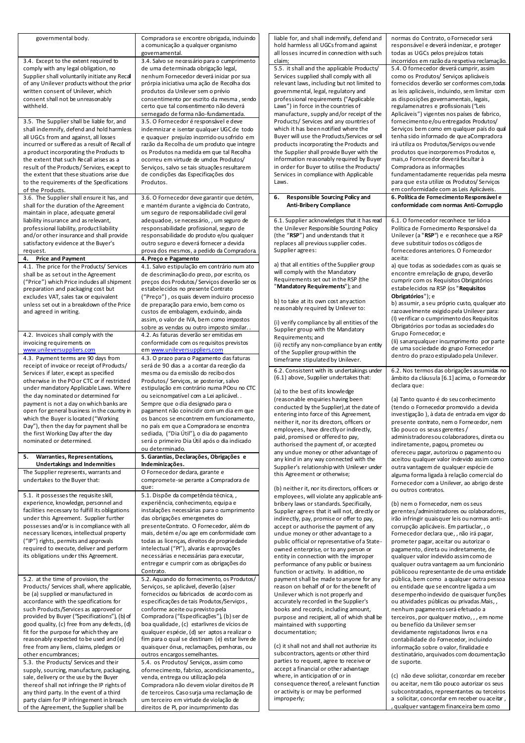| governmental body.                                                                       | Compradora se encontre obrigada, induindo<br>a comunicação a qualquer organismo                | liable for, and shall indemnify, defend and<br>hold harmless all UGCs from and against    | normas do Contrato, o Fornecedor será<br>responsável e deverá indenizar, e proteger          |
|------------------------------------------------------------------------------------------|------------------------------------------------------------------------------------------------|-------------------------------------------------------------------------------------------|----------------------------------------------------------------------------------------------|
| 3.4. Except to the extent required to                                                    | governamental.<br>3.4. Salvo se necessário para o cumprimento                                  | all losses incurred in connection with such<br>claim;                                     | todas as UGCs pelos prejuízos totais<br>incorridos em razão da respetiva reclamação.         |
| comply with any legal obligation, no                                                     | de uma determinada obrigação legal,                                                            | 5.5. it shall and the applicable Products/                                                | 5.4. O fornecedor deverá cumprir, assim                                                      |
| Supplier shall voluntarily initiate any Recal                                            | nenhum Fornecedor deverá iniciar por sua                                                       | Services supplied shall comply with all                                                   | como os Produtos/ Serviços aplicáveis                                                        |
| of any Unilever products without the prior                                               | prórpia iniciativa uma ação de Recolha dos                                                     | relevant laws, including but not limited to                                               | fornecidos deverão ser conformes com, todas                                                  |
| written consent of Unilever, which<br>consent shall not be unreasonably                  | produtos da Unilever sem o prévio<br>consentimento por escrito da mesma, sendo                 | governmental, legal, regulatory and<br>professional requirements ("Applicable             | as leis aplicáveis, induindo, sem limitar com<br>as disposições governamentais, legais,      |
| withheld.                                                                                | certo que tal consentimento não deverá                                                         | Laws") in force in the countries of                                                       | regulamenatres e profissionais ("Leis                                                        |
|                                                                                          | sernegado de forma não-fundamentada.                                                           | manufacture, supply and/or receipt of the                                                 | Aplicáveis") vigentes nos países de fabrico,                                                 |
| 3.5. The Supplier shall be liable for, and                                               | 3.5. O Fornecedor é responsável e deve                                                         | Products/ Services and any countries of                                                   | fornecimento e/ou entregados Produtos/                                                       |
| shall indemnify, defend and hold harmless                                                | indemnizar e isentar qualquer UGC de todo                                                      | which it has been notified where the                                                      | Serviços bem como em qualquer país do qual                                                   |
| all UGCs from and against, all losses<br>incurred or suffered as a result of Recall of   | e quaquer prejuízo incorrido ou sofrido em<br>razão da Recolha de um produto que integre       | Buyer will use the Products/Services or sell<br>products incorporating the Products and   | tenha sido informado de que aCompradora<br>irá utiliza os Produtos/Serviços ou vende         |
| a product incorporating the Products to                                                  | os Produtos na medida em que tal Recolha                                                       | the Supplier shall provide Buyer with the                                                 | produtos que incorporemos Produtos e,                                                        |
| the extent that such Recall arises as a                                                  | ocorreu em virtude de umdos Produtos/                                                          | information reasonably required by Buyer                                                  | mais, o Fornecedor deverá facultar à                                                         |
| result of the Products/Services, except to<br>the extent that these situations arise due | Serviços, salvo se tais situações resultarem                                                   | in order for Buyer to utilise the Products/<br>Services in compliance with Applicable     | Compradora as informações<br>fundamentadamente requeridas pela mesma                         |
| to the requirements of the Specifications                                                | de condições das Especificações dos<br>Produtos.                                               | Laws.                                                                                     | para que esta utilize os Produtos/Serviços                                                   |
| of the Products.                                                                         |                                                                                                |                                                                                           | em conformidade com as Leis Aplicáveis.                                                      |
| 3.6. The Supplier shall ensure it has, and                                               | 3.6. O Fornecedor deve garantir que detém,                                                     | <b>Responsible Sourcing Policy and</b><br>6.                                              | 6. Política de Fornecimento Responsável e                                                    |
| shall for the duration of the Agreement<br>maintain in place, adequate general           | e mantém durante a vigência do Contrato,<br>um seguro de responsabilidade civil geral          | <b>Anti-Bribery Compliance</b>                                                            | conformidade com normas Anti-Corrupção                                                       |
| liability insurance and as relevant,                                                     | adequadoe, se necessário, , um seguro de                                                       | 6.1. Supplier acknowledges that it has read                                               | 6.1. O fornecedor reconhece ter lido a                                                       |
| professional liability, product liability                                                | responsabilidade profissional, seguro de                                                       | the Unilever Responsible Sourcing Policy                                                  | Política de Fornecimento Responsável da                                                      |
| and/or other insurance and shall provide                                                 | responsabilidade do produto e/ou qualquer                                                      | (the "RSP") and understands that it                                                       | Unilever (a "RSP") e e reconhece que a RSP                                                   |
| satisfactory evidence at the Buyer's<br>request.                                         | outro seguro e deverá fornecer a devida<br>prova dos mesmos, a pedido da Compradora.           | replaces all previous supplier codes.<br>Supplier agrees:                                 | deve substituir todos os códigos de<br>fornecedores anteriores. O Fornecedor                 |
| 4.<br><b>Price and Payment</b>                                                           | 4. Preço e Pagamento                                                                           |                                                                                           | aceita:                                                                                      |
| 4.1. The price for the Products/ Services                                                | 4.1. Salvo estipulação em contrário num ato                                                    | a) that all entities of the Supplier group                                                | a) que todas as sociedades com as quais se                                                   |
| shall be as set out in the Agreement                                                     | de descriminação do preco, por escrito, os                                                     | will comply with the Mandatory<br>Requirements set out in the RSP (the                    | encontre em relação de grupo, deverão                                                        |
| ("Price") which Price indudes all shipment<br>preparation and packaging cost but         | preços dos Produtos/Serviços deverão ser os<br>estabelecidos no presente Contrato              | "Mandatory Requirements"); and                                                            | cumprir com os Requisitos Obrigatórios<br>estabelecidos na RSP (os "Requisitos               |
| excludes VAT, sales tax or equivalent                                                    | ("Preço"), os quais devem induiro processo                                                     |                                                                                           | Obrigatórios"); e                                                                            |
| unless set out in a breakdown of the Price                                               | de preparação para envio, bem como os                                                          | b) to take at its own cost any action<br>reasonably required by Unilever to:              | b) assumir, a seu próprio custo, qualquer ato                                                |
| and agreed in writing.                                                                   | custos de embalagem, exduindo, ainda                                                           |                                                                                           | razoavelmente exigido pela Unilever para:                                                    |
|                                                                                          | assim, o valor de IVA, bem como impostos<br>sobre as vendas ou outro imposto similar           | (i) verify compliance by all entities of the                                              | (I) verificar o cumprimento dos Requisitos<br>Obrigatórios por todas as sociedades do        |
| 4.2. Invoices shall comply with the                                                      | 4.2. As faturas deverão ser emitidas em                                                        | Supplier group with the Mandatory<br>Requirements; and                                    | Grupo Fornecedor; e                                                                          |
| invoicing requirements on                                                                | conformidade com os requisitos previstos                                                       | (ii) rectify any non-compliance by an entity                                              | (Ii) sanarqualquer incumprimento por parte                                                   |
| www.unileversuppliers.com                                                                | em www.unileversuppliers.com                                                                   | of the Supplier group within the                                                          | de uma sociedade do grupo Fornecedor<br>dentro do prazo estipulado pela Unilever.            |
| 4.3. Payment terms are 90 days from<br>receipt of invoice or receipt of Products/        | 4.3. O prazo para o Pagamento das faturas<br>será de 90 dias a a contar da receção da          | timeframe stipulated by Unilever.                                                         |                                                                                              |
| Services if later, except as specified                                                   | mesma ou da emissão do recibo dos                                                              | 6.2. Consistent with its undertakings under                                               | 6.2. Nos termos das obrigações assumidas no                                                  |
| otherwise in the PO or CTC or if restricted                                              | Produtos/ Serviços, se posterior, salvo                                                        | (6.1) above, Supplier undertakes that:                                                    | âmbito da cláusula [6.1] acima, o Fornecedor<br>declara que:                                 |
| under mandatory Applicable Laws. Where<br>the day nominated or determined for            | estipulação em contrário numa POou no CTC<br>ou seicnompatível com a Lei aplicável             | (a) to the best of its knowledge                                                          |                                                                                              |
| payment is not a day on which banks are                                                  | Sempre que o dia designado para o                                                              | (reasonable enquiries having been                                                         | (a) Tanto quanto é do seu conhecimento                                                       |
| open for general business in the country in                                              | pagament não coincidir com um dia em que                                                       | conducted by the Supplier), at the date of<br>entering into force of this Agreement,      | (tendo o Fornecedor promovido a devida<br>investigação), à data de entrada em vigor do       |
| which the Buyer is located ("Working                                                     | os bancos se encontrem em funcionamento,                                                       | neither it, nor its directors, officers or                                                | presente contrato, nem o Fornecedor, nem                                                     |
| Day"), then the day for payment shall be<br>the first Working Day after the day          | no país em que a Compradora se encontra<br>sediada, ("Dia Útil"), o dia do pagamento           | employees, have directly or indirectly,                                                   | tão pouco os seuss gerentes /                                                                |
| nominated or determined.                                                                 | será o primeiro Dia Útil após o dia indicado                                                   | paid, promised or offered to pay,<br>authorised the payment of, or accepted               | administradoresou colaboradores, direta ou<br>indiretamente, pagou, prometeu ou              |
|                                                                                          | ou determinado.                                                                                | any undue money or other advantage of                                                     | ofereceu pagar, autorizou o pagamento ou                                                     |
| Warranties, Representations,<br>5.<br><b>Undertakings and Indemnities</b>                | 5. Garantias, Declarações, Obrigações e<br>Indeminizações.                                     | any kind in any way connected with the                                                    | aceitou qualquer valor indevido assim como                                                   |
| The Supplier represents, warrants and                                                    | O Fornecedor dedara, garante e                                                                 | Supplier's relationship with Unilever under<br>this Agreement or otherwise;               | outra vantagem de qualquer espécie de                                                        |
| undertakes to the Buyer that:                                                            | compromete-se perante a Compradora de                                                          |                                                                                           | alguma forma ligada à relação comercial do<br>Fornecedor com a Unilever, ao abrigo deste     |
|                                                                                          | que:                                                                                           | (b) neither it, nor its directors, officers or                                            | ou outros contratos.                                                                         |
| 5.1. it possesses the requisite skill,<br>experience, knowledge, personnel and           | 5.1. Dispõe da competência técnica,,<br>experiência, conhecimento, equipa e                    | employees, will violate any applicable anti-                                              |                                                                                              |
| facilities necessary to fulfill its obligations                                          | instalações necessárias para o cumprimento                                                     | bribery laws or standards. Specifically,<br>Supplier agrees that it will not, directly or | (b) nem o Fornecedor, nem os seus<br>gerentes/administradores ou colaboradores,              |
| under this Agreement. Supplier further                                                   | das obrigações emergenetes do                                                                  | indirectly, pay, promise or offer to pay,                                                 | irão infringir quaisquer leis ou normas anti-                                                |
| possesses and/or is in compliance with all<br>necessary licences, intellectual property  | presenteContrato. O Fornecedor, além do                                                        | accept or authorise the payment of any                                                    | corrupção aplicáveis. Em partiuclar, , o                                                     |
| ("IP") rights, permits and approvals                                                     | mais, detém e/ou age em conformidade com<br>todas as licenças, direitos de propriedade         | undue money or other advantage to a<br>public official or representative of a State-      | Fornecedor declara que,, não irá pagar,<br>prometer pagar, aceitar ou autorizar o            |
| required to execute, deliver and perform                                                 | intelectual ("Pl"), alvarás e aprovações                                                       | owned enterprise, or to any person or                                                     | pagamento, direta ou indiretamente, de                                                       |
| its obligations under this Agreement.                                                    | necessárias e necessárias para executar,                                                       | entity in connection with the improper                                                    | qualquer valor indevido assim como de                                                        |
|                                                                                          | entregar e cumprir com as obrigações do<br>Contrato.                                           | performance of any public or business<br>function or activity. In addition, no            | qualquer outra vantagem aa um funcionário<br>públicoou representante de de uma entidade      |
| 5.2. at the time of provision, the                                                       | 5.2. Aquando do fornecimento, os Produtos/                                                     | payment shall be made to anyone for any                                                   | pública, bem como a qualquer outra pessoa                                                    |
| Products/ Services shall, where applicable,                                              | Serviços, se aplicável, deverão (a)ser                                                         | reason on behalf of or for the benefit of                                                 | ou entidade que se encontre ligada a um                                                      |
| be (a) supplied or manufactured in<br>accordance with the specifications for             | fornecidos ou fabricados de acordo com as                                                      | Unilever which is not properly and                                                        | desempenho indevido de quaisquer funções                                                     |
| such Products/Services as approved or                                                    | especificações de tais Produtos/Serviços ,<br>conforme aceite ou previsto pela                 | accurately recorded in the Supplier's<br>books and records, including amount,             | ou atividades públicas ou privadas. Mais,,<br>nenhum pagamento será efetuado a               |
| provided by Buyer ("Specifications"), (b) of                                             | Compradora ("Especificações"), (b) ser de                                                      | purpose and recipient, all of which shall be                                              | terceiros, por qualquer motivo, , , em nome                                                  |
| good quality, (c) free from any defects, (d)                                             | boa qualidade, (c) estarlivres de vícios de                                                    | maintained with supporting                                                                | ou benefício da Unilever semser                                                              |
| fit for the purpose for which they are<br>reasonably expected to be used and (e)         | qualquer espécie, (d) ser aptos a realizar o<br>fim para o qual se destinam (e) estar livre de | documentation;                                                                            | devidamente registadonos livros e na<br>contabilidade do Fornecedor, incluindo               |
| free from any liens, claims, pledges or                                                  | quaisquer ónus, reclamações, penhoras, ou                                                      | (c) it shall not and shall not authorize its                                              | informação sobre o valor, finalidade e                                                       |
| other encumbrances;                                                                      | outros encargos semelhantes.                                                                   | subcontractors, agents or other third                                                     | destinatário, arquivados com documentação                                                    |
| 5.3. the Products/ Services and their<br>supply, sourcing, manufacture, packaging,       | 5.4. os Produtos/ Serviços, assim como<br>ofornecimento, fabrico, acondicionamento,,           | parties to request, agree to receive or<br>accept a financial or other advantage          | de suporte.                                                                                  |
| sale, delivery or the use by the Buyer                                                   | venda, entrega ou utilização pela                                                              | where, in anticipation of or in                                                           | (c) não deve solicitar, concordar em receber                                                 |
| thereof shall not infringe the IP rights of                                              |                                                                                                | consequence thereof, a relevant function                                                  | ou aceitar, nem tão pouco autorizar os seus                                                  |
|                                                                                          | Compradora não devem violar direitos de PI                                                     |                                                                                           |                                                                                              |
| any third party. In the event of a third<br>party claim for IP infringement in breach    | de terceiros. Caso surja uma reclamação de<br>um terceiro em virtude de violação de            | or activity is or may be performed<br>improperly;                                         | subcontratados, representantes ou terceiros<br>a solicitar, concordar em receber ou aceitar, |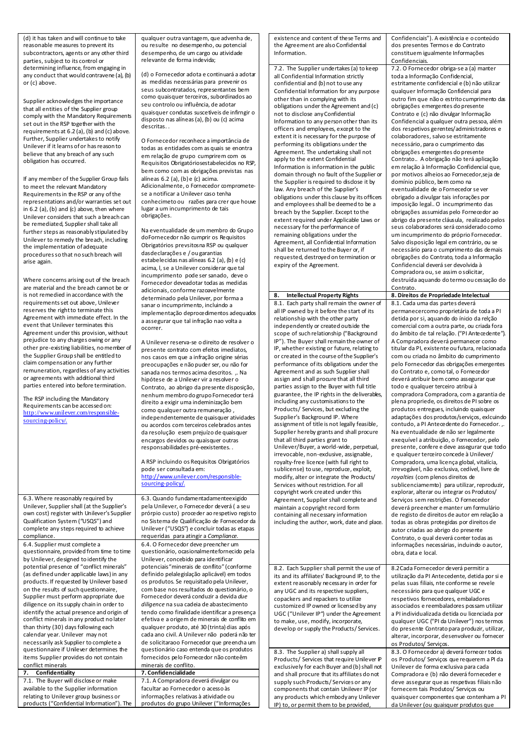(d) it has taken and will continue to take reasonable measures to prevent its subcontractors, agents or any other third parties, subject to its control or determining influence, from engaging in any conduct that would contravene (a), (b) or (c) above.

Supplier acknowledges the importance that all entities of the Supplier group comply with the Mandatory Requirements set out in the RSP together with the requirements at  $6.2$  (a), (b) and (c) above. Further, Supplier undertakes to notify Unilever if it learns of or has reason to believe that any breach of any such obligation has occurred.

If any member of the Supplier Group fails to meet the relevant Mandatory Requirements in the RSP or any of the representations and/or warranties set out in  $6.2$  (a), (b) and  $(c)$  above, then where Unilever considers that such a breach can be remediated, Supplier shall take all further steps as reasonably stipulated by Unilever to remedy the breach, including the implementation of adequate procedures so that no such breach will arise again.

Where concerns arising out of the breach are material and the breach cannot be or is not remedied in accordance with the requirements set out above, Unilever reserves the right to terminate this Agreement with immediate effect. In the event that Unilever terminates this Agreement under this provision, without prejudice to any charges owing or any other pre-existing liabilities, no member of the Supplier Group shall be entitled to claim compensation or any further remuneration, regardless of any activities or agreements with additional third parties entered into before termination.

The RSP including the Mandatory Requirements can be accessed on: [http://www.unilever.com/responsible](http://www.unilever.com/responsible-sourcing-policy/)[sourcing-policy/](http://www.unilever.com/responsible-sourcing-policy/).

6.3. Where reasonably required by Unilever, Supplier shall (at the Supplier's own cost) register with Unilever's Supplier Qualification System ("USQS") and complete any steps required to achieve

6.4. Supplier must complete a questionnaire, provided from time to time by Unilever, designed to identify the potential presence of "conflict minerals" (as defined under applicable laws) in any products. If requested by Unilever based on the results of such questionnaire, Supplier must perform appropriate due diligence on its supply chain in order to identify the actual presence and origin of conflict minerals in any product no later than thirty (30) days following each calendar year. Unilever may not necessarily ask Supplier to complete a questionnaire if Unilever determines the items Supplier provides do not contain

compliance.

conflict minerals<br>7. Confidentiality

7.1. The Buyer will disclose or make available to the Supplier information relating to Unilever group business or products ("Confidential Information"). The

qualquer outra vantagem, que advenha de, ou resulte no desempenho, ou potencial desempenho, de um cargo ou atividade relevante de forma indevida;

(d) o Fornecedor adota e continuará a adota as medidas necessárias para prevenir os seus subcontratados, representantes bem como quaisquer terceiros, subordinados ao seu controlo ou influência, de adotar quaisquer condutas suscetíveis de infirngir o disposto nas alíneas(a), (b) ou (c) acima descritas. .

O Fornecedor reconhece a importância de todas as entidades com as quais se enontra em relação de grupo cumprirem com os Requisitos Obrigatóriosestabelecidos no RSP, bem como com as obrigações previstas nas alíneas 6.2 (a), (b) e (c) acima. Adicionalmente, o Fornecedor comprometese a notificar a Unilever caso tenha conhecimeto ou razões para crer que houve lugar a um incumprimento de tais obrigações.

Na eventualidade de um membro do Grupo doFornecedor não cumprir os Requisitos Obrigatórios prevsitosna RSP ou qualquer dasdeclarações e / ou garantias estabelecidas nas alíneas 6.2 (a), (b) e (c) acima, l, se a Unilever considerar que tal incumprimento pode ser sanado, deve o Fornecedor deveadotar todas as medidas adicionais, conforme razoavelmente determinado pela Unilever, por forma a sanar o incumprimento, incluindo a implementação deprocedimentos adequados a assegurar que tal infração nao volta a ocorrer.

A Unilever reserva-se o direito de resolver o presente contrato com efeitos imediatos, nos casos em que a infração origine sérias preocupações e não puder ser, ou não for sanada nos termos acima descritos. ,. Na hipótese de a Unilever vir a resolver o Contrato, ao abrigo da presente disposição, nenhum membro do grupo Fornecedor terá direito a exigir uma indeminização bem como qualquer outra remuneração , independentemente de quaisquer atividades ou acordos com terceiros celebrados antes da resolução esem prejuízo de quaisquer encargos devidos ou quaisquer outras responsabilidades pré-eexistentes. .

A RSP incluindo os Requisitos Obrigatórios pode ser consultada em: [http://www.unilever.com/responsible](http://www.unilever.com/responsible-sourcing-policy/)[sourcing-policy/.](http://www.unilever.com/responsible-sourcing-policy/)

6.3. Quando fundamentadamenteexigido pela Unilever, o Fornecedor deverá ( a seu prórpio custo) proceder ao respetivo registo no Sistema de Qualificação de Fornecedor da Unilever ("USQS") e concluir todas as etapas requeridas para atingir a *Compliance*. 6.4. O Fornecedor deve preencher um questionário, ocasionalmentefornecido pela Unilever, concebido para identificar potenciais"minerais de conflito" (conforme definido pelalegislação aplicável) em todos os produtos. Se requisitado pela Unilever, com base nos resultados do questionário, o Fornecedor deverá conduzir a devida *due diligence* na sua cadeia de abastecimento tendo como finalidade identificar a presença efetiva e a origem de minerais de conflito em qualquer produto, até 30 (trinta) dias após cada ano civil. A Unilever não poderá não ter de solicitaraoo Fornecedor que preencha um questionário caso entenda que os produtos fornecidos pelo Fornecedor não conteêm minerais de conflito. **7. Confidentiality 7. Confidencialidade** 7.1. A Compradora deverá divulgar ou

facultar ao Fornecedor o acesso às informações relativas à atividade ou produtos do grupo Unilever ("Informações

existence and content of these Terms and the Agreement are also Confidential Information.

7.2. The Supplier undertakes (a) to keep all Confidential Information strictly confidential and (b) not to use any Confidential Information for any purpose other than in complying with its obligations under the Agreement and (c) not to disclose any Confidential Information to any person other than its officers and employees, except to the extent it is necessary for the purpose of performing its obligations under the Agreement. The undertaking shall not apply to the extent Confidential Information is information in the public domain through no fault of the Supplier or the Supplier is required to disclose it by law. Any breach of the Supplier's obligations under this clause by its officers and employees shall be deemed to be a breach by the Supplier. Except to the extent required under Applicable Laws or necessary for the performance of remaining obligations under the Agreement, all Confidential Information shall be returned to the Buyer or, if requested, destroyed on termination or expiry of the Agreement.

8.1. Each party shall remain the owner of all IP owned by it before the start of its relationship with the other party independently or created outside the scope of such relationship ("Background IP"). The Buyer shall remain the owner of IP, whether existing or future, relating to or created in the course of the Supplier's performance of its obligations under the Agreement and as such Supplier shall assign and shall procure that all third parties assign to the Buyer with full title guarantee, the IP rights in the deliverables, including any customisationsto the Products/ Services, but excluding the Supplier's Background IP. Where assignment of title is not legally feasible, Supplier hereby grants and shall procure that all third parties grant to Unilever/Buyer, a world-wide, perpetual, irrevocable, non-exclusive, assignable, royalty-free licence (with full right to sublicense) to use, reproduce, exploit, modify, alter or integrate the Products/ Services without restriction. For all copyright work created under this Agreement, Supplier shall complete and maintain a copyright record form containing all necessary information including the author, work, date and place.

8.2. Each Supplier shall permit the use of its and its affiliates' Background IP, to the extent reasonably necessary in order for any UGC and its respective suppliers, copackers and repackers to utilize customized IP owned or licensed by any UGC ("Unilever IP") under the Agreement to make, use, modify, incorporate, develop or supply the Products/ Services.

8.3. The Supplier a) shall supply all Products/ Services that require Unilever F exclusively for each Buyer and (b) shall not and shall procure that its affiliates do not supply such Products/ Services or any components that contain Unilever IP (or any products which embody any Unilever IP) to, or permit them to be provided

Confidenciais"). A existência e o conteúdo dos presentes Termos e do Contrato constituem igualmente Informações Confidenciais. 7.2. O Fornecedor obriga-se a (a) manter toda a Informação Confidencial, estritamente confidencial e (b) não utilizar qualquer Informação Confidencial para outro fim que não o estrito cumprimento das obrigações emergentes do presente Contrato e (c) não divulgar Informação Confidencial a qualquer outra pessoa, além dos respetivos gerentes/administradores e colaboradores, salvo se estritamente necessário, para o cumprimento das obrigações emergentes do presente Contrato.. A obrigação não terá aplicação em relação à Informação Confidencial que, por motivos alheios ao Fornecedor,seja de domínio público, bem como na eventualidade de o Fornecedor se ver obrigado a divulgar tais inforações por imposição legal.. O incumprimento das obrigações assumidas pelo Fornecedor ao abrigo da presente cláusula, realizado pelos seus colaboradores será considerado como um incumprimento do próprio Fornecedor. Salvo disposição legal em contrário, ou se necessário para o cumprimento das demais obrigações do Contrato, toda a Informação Confidencial deverá ser devolvida à Compradora ou, se assim o solicitar, destruída aquando do termo ou cessação do Contrato. 8. Intellectual Property Rights 8. Direitos de Propriedade Intelectual 8.1. Cada uma das partes deverá permanecercomo proprietária de toda a PI detida por si, aquando do ínicio da relção comercial com a outra parte, ou criada fora do âmbito de tal relação. ("PI Antecedente"). A Compradora deverá permanecer como titular da PI, existente ou futura, relacionada com ou criada no âmbito do cumprimento pelo Fornecedor das obrigações emergentes do Contrato e, como tal, o Fornecedor deverá atribuir bem como assegurar que todo e qualquer terceiro atribui à compradora Compradora, com a garantia de plena propriede, os direitos de PI sobre os produtos entregues, incluindo quaisquer adaptações dos produtos/serviços, exlcuindo contudo, a PI Antecedente do Fornecedor. Na eventualidade de não ser legalmente exequível a atribuição, o Fornecedor, pelo presente, confere e deve assegurar que todo e qualquer terceiro concede à Unilever/ Compradora, uma licença global, vitalícia, irrevogável, não exclusiva, cedível, livre de *royalties* (com plenos direitos de sublicenciamemto) para utilizar, reproduzir, explorar, alterar ou integrar os Produtos/ Serviços sem restrições. O Fornecedor deverá preencher e manter um formulário de registo de direitos de autor em relação a todas as obras protegidas por direitos de autor criadas ao abrigo do presente Contrato, o qual deverá conter todas as informações necessárias, incluindo o autor, obra, data e local. 8.2Cada Fornecedor deverá permitir a utilização da PI Antecedente, detida por si e pelas suas filiais, nte conforme se revele necessário para que qualquer UGC e respetivos fornecedores, embaladores associados e reembaladores possam utilizar a PI individualizada detida ou licenciada por qualquer UGC ("PI da Unilever") nos termos

do presente Contrato para produzir, utilizar, alterar, incorporar, desenvolver ou fornecer os Produtos/ Serviços. 8.3. O Fornecedor a) deverá fornecer todos os Produtos/ Serviços que requerem a PI da Unilever de forma exclusiva para cada Compradora e (b) não deverá forneceder e deve assegurar que as respetivas filiais não fornecem tais Produtos/ Serviços ou quaisquer componentes que contenham a PI da Unilever (ou quaisquer produtos que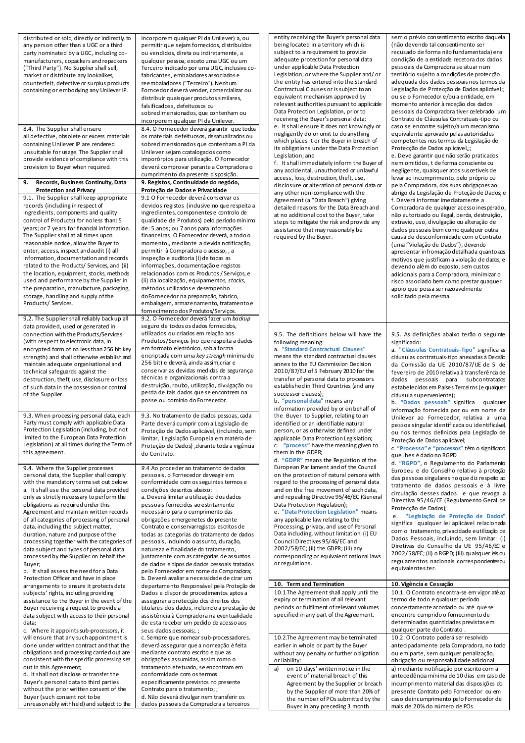| distributed or sold, directly or indirectly, to<br>any person other than a UGC or a third<br>party nominated by a UGC, including co-<br>manufacturers, copackers and repackers<br>("Third Party"). No Supplier shall sell,<br>market or distribute any lookalikes,<br>counterfeit, defective or surplus products<br>containing or embodying any Unilever IP.<br>8.4. The Supplier shall ensure<br>all defective, obsolete or excess materials<br>containing Unilever IP are rendered<br>unsuitable for usage. The Supplier shall<br>provide evidence of compliance with this<br>provision to Buyer when required.<br>9. Records, Business Continuity, Data<br><b>Protection and Privacy</b><br>9.1. The Supplier shall keep appropriate<br>records (including in respect of<br>ingredients, components and quality<br>control of Products) for no less than: 5<br>years; or 7 years for financial information. | incorporem qualquer PI da Unilever) a, ou<br>permitir que sejam fornecidos, distribuídos<br>ou vendidos, direta ou indiretamente, a<br>qualquer pessoa, exceto uma UGC ou um<br>Terceiro indicado por uma UGC, inclusive co-<br>fabricantes, embaladores associados e<br>reembaladores ("Terceiro"). Nenhum<br>Forncedor deverá vender, comercializar ou<br>distribuir quaisquer produtos similares,<br>falsificadoss, defeituosos ou<br>sobredimensionados, que contenham ou<br>incorporem qualquer PI da Unilever.<br>8.4. O Fornecedor deverá garantir que todos<br>os materiais defeituosos, desatualizados ou<br>sobredimensionados que contenham a PI da<br>Unilever sejam ccatalogados como<br>imporórpios para utilização. O Fornecedor<br>deverá comprovar perante a Compradora o<br>cumprimento da presente disposição.<br>9. Registos, Continuidade do negócio,<br>Proteção de Dados e Privacidade<br>9.1 O Fornecedor deverá conservar os<br>devidos registos (indusive no que respeita a<br>ingredientes, componentes e controlo de<br>qualidade de Produtos) pelo período mínimo<br>de: 5 anos; ou 7 anos para informações | entity receiving the Buyer's personal data<br>being located in a territory which is<br>subject to a requirement to provide<br>adequate protection for personal data<br>under applicable Data Protection<br>Legislation; or where the Supplier and/or<br>the entity has entered into the Standard<br>Contractual Clauses or is subject to an<br>equivalent mechanism approved by<br>relevant authorities pursuant to applicable<br>Data Protection Legislation, prior to<br>receiving the Buyer's personal data;<br>e. It shall ensure it does not knowingly or<br>negligently do or omit to do anything<br>which places it or the Buyer in breach of<br>its obligations under the Data Protection<br>Legislation; and<br>f. It shall immediately inform the Buyer of<br>any accidental, unauthorized or unlawful<br>access, loss, destruction, theft, use,<br>disclosure or alteration of personal data or<br>any other non-compliance with the<br>Agreement (a "Data Breach") giving<br>detailed reasons for the Data Breach and<br>at no additional cost to the Buyer, take<br>steps to mitigate the risk and provide any<br>assistance that may reasonably be | sem o prévio consentimento escrito daquela<br>(não devendo tal consentimento ser<br>recusado de forma não fundamentada) ena<br>condição de a entidade recetora dos dados<br>pessoais da Compradora se situar num<br>território sujeito a condições de protecção<br>adequada dos dados pessoais nos termos da<br>Legislação de Protecção de Dados aplicável;;<br>ou se o Fornecedor e/ou a entidade, em<br>momento anterior à receção dos dados<br>pessoais da Compradora tiver celebrado um<br>Contrato de Cláusulas Contratuais-tipo ou<br>caso se encontre sujeito/a um mecanismo<br>equivalente aprovado pelas autoridades<br>competentes nos termos da Legislação de<br>Protecção de Dados aplicável,;;<br>e. Deve garantir que não serão praticados<br>nem omitidos, t de forma consciente ou<br>negligente, quaisquer atos suscetiveís de<br>levar ao incumprimento, pelo próprio ou<br>pela Compradora, das suas obrigações ao<br>abrigo da Legislação de Proteção de Dados; e<br>f. Deverá informar imediatamente a<br>Compradora de qualquer acesso inesperado,<br>não autorizado ou ilegal, perda, destruição,<br>extravio, uso, divulgação ou alteração de<br>dados pessoais bem como qualquer outra |
|----------------------------------------------------------------------------------------------------------------------------------------------------------------------------------------------------------------------------------------------------------------------------------------------------------------------------------------------------------------------------------------------------------------------------------------------------------------------------------------------------------------------------------------------------------------------------------------------------------------------------------------------------------------------------------------------------------------------------------------------------------------------------------------------------------------------------------------------------------------------------------------------------------------|------------------------------------------------------------------------------------------------------------------------------------------------------------------------------------------------------------------------------------------------------------------------------------------------------------------------------------------------------------------------------------------------------------------------------------------------------------------------------------------------------------------------------------------------------------------------------------------------------------------------------------------------------------------------------------------------------------------------------------------------------------------------------------------------------------------------------------------------------------------------------------------------------------------------------------------------------------------------------------------------------------------------------------------------------------------------------------------------------------------------------------------|------------------------------------------------------------------------------------------------------------------------------------------------------------------------------------------------------------------------------------------------------------------------------------------------------------------------------------------------------------------------------------------------------------------------------------------------------------------------------------------------------------------------------------------------------------------------------------------------------------------------------------------------------------------------------------------------------------------------------------------------------------------------------------------------------------------------------------------------------------------------------------------------------------------------------------------------------------------------------------------------------------------------------------------------------------------------------------------------------------------------------------------------------------------|-----------------------------------------------------------------------------------------------------------------------------------------------------------------------------------------------------------------------------------------------------------------------------------------------------------------------------------------------------------------------------------------------------------------------------------------------------------------------------------------------------------------------------------------------------------------------------------------------------------------------------------------------------------------------------------------------------------------------------------------------------------------------------------------------------------------------------------------------------------------------------------------------------------------------------------------------------------------------------------------------------------------------------------------------------------------------------------------------------------------------------------------------------------------------------------------------------------------|
| The Supplier shall at all times upon<br>reasonable notice, allow the Buyer to<br>enter, access, inspect and audit (i) all<br>information, documentation and records<br>related to the Products/ Services, and (ii)<br>the location, equipment, stocks, methods<br>used and performance by the Supplier in<br>the preparation, manufacture, packaging,<br>storage, handling and supply of the<br>Products/ Services.<br>9.2. The Supplier shall reliably backup all                                                                                                                                                                                                                                                                                                                                                                                                                                             | financeiras. O Fornecedor deverá, a todo o<br>momento,, mediante a devida notificação,<br>permitir à Compradora o acesso,, a<br>inspeção e auditoria (i) de todas as<br>informações, documentação e registos<br>relacionados com os Produtos / Serviços, e<br>(ii) da localização, equipamentos, stocks,<br>métodos utilizados e desempenho<br>doFornecedor na preparação, fabrico,<br>embalagem, armazenamento, tratamento e<br>fornecimento dos Produtos/Serviços.<br>9.2. O Fornecedor deverá fazer um backup                                                                                                                                                                                                                                                                                                                                                                                                                                                                                                                                                                                                                         | required by the Buyer.                                                                                                                                                                                                                                                                                                                                                                                                                                                                                                                                                                                                                                                                                                                                                                                                                                                                                                                                                                                                                                                                                                                                           | causa de desconformidade com o Contrato<br>(uma "Violação de Dados"), devendo<br>apresentar infromação detalhada quanto aos<br>motivos que justificam a violação de dados, e<br>devendo além do exposto, sem custos<br>adicionais para a Compradora, minimizar o<br>risco associado bem como prestar quaquer<br>apoio que possa ser razoavelmente<br>solicitado pela mesma.                                                                                                                                                                                                                                                                                                                                                                                                                                                                                                                                                                                                                                                                                                                                                                                                                                     |
| data provided, used or generated in<br>connection with the Products/Services<br>(with respect to electronic data, in<br>encrypted form of no less than 256 bit key<br>strength) and shall otherwise establish and<br>maintain adequate organisational and<br>technical safeguards against the<br>destruction, theft, use, disclosure or loss<br>of such data in the possession or control<br>of the Supplier.                                                                                                                                                                                                                                                                                                                                                                                                                                                                                                  | seguro de todos os dados fornecidos,<br>utilizados ou criados em relação aos<br>Produtos/Serviços (no que respeita a dados<br>em formato eletrónico, sob a forma<br>encriptada com uma key strengh mínima de<br>256 bit) e deverá, ainda assim, criar e<br>conservar as devidas medidas de segurança<br>técnicas e organizacionais contra a<br>destruição, roubo, utilização, divulgação ou<br>perda de tais dados que se encontrem na<br>posse ou domínio do Fornecedor.                                                                                                                                                                                                                                                                                                                                                                                                                                                                                                                                                                                                                                                                | 9.5. The definitions below will have the<br>following meaning:<br>a. "Standard Contractual Clauses"<br>means the standard contractual clauses<br>annex to the EU Commission Decision<br>2010/87/EU of 5 February 2010 for the<br>transfer of personal data to processors<br>established in Third Countries (and any<br>successor clauses);<br>b. "personal data" means any<br>information provided by or on behalf of                                                                                                                                                                                                                                                                                                                                                                                                                                                                                                                                                                                                                                                                                                                                            | 9.5. As definições abaixo terão o seguinte<br>significado:<br>a. "Cláusulas Contratuais-Tipo" significa as<br>cláusulas contratuais-tipo anexadas à Decisão<br>da Comissão da UE 2010/87/UE de 5 de<br>fevereiro de 2010 relativa à transferência de<br>dados pessoais para subcontratados<br>estabelecidos em Países Terceiros (e qualquer<br>cláusula superveniente);<br>b. "Dados pessoais" significa qualquer<br>informação fornecida por ou em nome da                                                                                                                                                                                                                                                                                                                                                                                                                                                                                                                                                                                                                                                                                                                                                     |
| 9.3. When processing personal data, each<br>Party must comply with applicable Data<br>Protection Legislation (including, but not<br>limited to the European Data Protection<br>Legislation) at all times during the Term of<br>this agreement.                                                                                                                                                                                                                                                                                                                                                                                                                                                                                                                                                                                                                                                                 | 9.3. No tratamento de dados pessoas, cada<br>Parte deverá cumprir com a Legislação de<br>Proteção de Dados aplicável, (incluindo, sem<br>limitar, Legislação Europeia em matéria de<br>Proteção de Dados), durante toda a vigência<br>do Contrato.                                                                                                                                                                                                                                                                                                                                                                                                                                                                                                                                                                                                                                                                                                                                                                                                                                                                                       | the Buyer to Supplier, relating to an<br>identified or an identifiable natural<br>person, or as otherwise defined under<br>applicable Data Protection Legislation;<br>c. "process" have the meaning given to<br>them in the GDPR;<br>d. "GDPR" means the Regulation of the                                                                                                                                                                                                                                                                                                                                                                                                                                                                                                                                                                                                                                                                                                                                                                                                                                                                                       | Unilever ao Fornecedor, relativa a uma<br>pessoa singular identificada ou identificável,<br>ou nos termos definidos pela Legislação de<br>Proteção de Dados aplicável;<br>c. "Processo" e "processos" têm o significado<br>que lhes é dado no RGPD<br>d. "RGPD", o Regulamento do Parlamento                                                                                                                                                                                                                                                                                                                                                                                                                                                                                                                                                                                                                                                                                                                                                                                                                                                                                                                    |
| 9.4. Where the Supplier processes<br>personal data, the Supplier shall comply<br>with the mandatory terms set out below:<br>a. It shall use the personal data provided<br>only as strictly necessary to perform the<br>obligations as required under this<br>Agreement and maintain written records<br>of all categories of processing of personal<br>data, including the subject matter,<br>duration, nature and purpose of the<br>processing together with the categories of<br>data subject and types of personal data<br>processed by the Supplier on behalf the<br>Buyer;<br>b. It shall assess the need for a Data<br>Protection Officer and have in place                                                                                                                                                                                                                                               | 9.4 Ao proceder ao tratamento de dados<br>pessoais, o Fornecedor deveagir em<br>conformidade com os seguintes termos e<br>condições descritos abaixo: :<br>a. Deverá limitar a utilização dos dados<br>pessoais fornecidos ao estritamente<br>necessário para o cumprimento das<br>obrigações emergenetes do presente<br>Contrato e conservarregistos escritos de<br>todas as categorias do tratamento de dados<br>pessoais, induindo o assunto, duração,<br>natureza e finalidade do tratamento,<br>juntamente com as categorias de assuntos<br>de dados e tipos de dados pessoais tratados<br>pelo Fornecedor em nome da Compradora;<br>b. Deverá avaliar a necessidade de cirar um                                                                                                                                                                                                                                                                                                                                                                                                                                                    | European Parliament and of the Council<br>on the protection of natural persons with<br>regard to the processing of personal data<br>and on the free movement of such data.<br>and repealing Directive 95/46/EC (General<br>Data Protection Regulation);<br>e. "Data Protection Legislation" means<br>any applicable law relating to the<br>Processing, privacy, and use of Personal<br>Data including, without limitation: (i) EU<br>Council Directives 95/46/EC and<br>2002/58/EC; (ii) the GDPR; (iii) any<br>corresponding or equivalent national laws<br>or regulations.                                                                                                                                                                                                                                                                                                                                                                                                                                                                                                                                                                                     | Europeu e do Conselho relativo à proteção<br>das pessoas singulares no que diz respeito ao<br>tratamento de dados pessoais e à livre<br>circulação desses dados e que revoga a<br>Directiva 95/46/CE (Regulamento Geral de<br>Protecção de Dados);<br>e. "Legislação de Proteção de Dados"<br>significa qualquer lei aplicável relacionada<br>com o tratamento, privacidade eutilização de<br>Dados Pessoais, incluindo, sem limitar: (i)<br>Diretivas do Conselho da UE 95/46/EC e<br>2002/58/EC; (ii) o RGPD; (iii) quaisquer leis ou<br>regulamentos nacionais correspondentesou<br>equivalentes.ter.                                                                                                                                                                                                                                                                                                                                                                                                                                                                                                                                                                                                        |
| arrangements to ensure it protects data<br>subjects' rights, including providing<br>assistance to the Buyer in the event of the<br>Buyer receiving a request to provide a<br>data subject with access to their personal<br>data;                                                                                                                                                                                                                                                                                                                                                                                                                                                                                                                                                                                                                                                                               | departamento Responsável pela Proteção de<br>Dados e dispor de procedimentos aptos a<br>assegurar a protecção dos direitos dos<br>titulares dos dados, incluindo a prestação de<br>assistência à Compradora na eventualidade<br>de esta receber um pedido de acesso aos                                                                                                                                                                                                                                                                                                                                                                                                                                                                                                                                                                                                                                                                                                                                                                                                                                                                  | 10. Term and Termination<br>10.1. The Agreement shall apply until the<br>expiry or termination of all relevant<br>periods or fulfilment of relevant volumes<br>specified in any part of the Agreement.                                                                                                                                                                                                                                                                                                                                                                                                                                                                                                                                                                                                                                                                                                                                                                                                                                                                                                                                                           | 10. Vigência e Cessação<br>10.1. O Contrato encontra-se em vigor até ao<br>termo de todo e qualquer período<br>concertamente acordado ou até que se<br>encontre cumprido o fornecimento de<br>determinadas quantidades previstas em<br>qualquer parte do Contrato.                                                                                                                                                                                                                                                                                                                                                                                                                                                                                                                                                                                                                                                                                                                                                                                                                                                                                                                                              |
| c. Where it appoints sub-processors, it<br>will ensure that any such appointment is<br>done under written contract and that the<br>obligations and processing carried out are<br>consistent with the specific processing set<br>out in this Agreement;<br>d. It shall not disclose or transfer the                                                                                                                                                                                                                                                                                                                                                                                                                                                                                                                                                                                                             | seus dados pessoais; ;<br>c. Sempre que nomear sub-processadores,<br>deverá assegurar que a nomeação é feita<br>mediante contrato escrito e que as<br>obrigações assumidas, assim como o<br>tratamento efetuado, se encontram em<br>conformidade com os termos                                                                                                                                                                                                                                                                                                                                                                                                                                                                                                                                                                                                                                                                                                                                                                                                                                                                           | 10.2. The Agreement may be terminated<br>earlier in whole or part by the Buyer<br>without any penalty or further obligation<br>or liability:<br>on 10 days' written notice in the<br>a)<br>event of material breach of this                                                                                                                                                                                                                                                                                                                                                                                                                                                                                                                                                                                                                                                                                                                                                                                                                                                                                                                                      | 10.2. O Contrato poderá ser resolvido<br>antecipadamente pela Compradora, no todo<br>ou em parte, sem qualquer penalização,<br>obrigação ou responsabilidade adicional<br>a) mediante notificação por escrito com a<br>antecedência mínima de 10 dias em caso de                                                                                                                                                                                                                                                                                                                                                                                                                                                                                                                                                                                                                                                                                                                                                                                                                                                                                                                                                |
| Buyer's personal data to third parties<br>without the prior written consent of the<br>Buyer (such consent not to be<br>unreasonably withheld) and subject to the                                                                                                                                                                                                                                                                                                                                                                                                                                                                                                                                                                                                                                                                                                                                               | especificamente previstos no presente<br>Contrato para o tratamento;;<br>d. Não deverá divulgar nem transferir os<br>dados pessoais da Compradora a terceiros                                                                                                                                                                                                                                                                                                                                                                                                                                                                                                                                                                                                                                                                                                                                                                                                                                                                                                                                                                            | Agreement by the Supplier or breach<br>by the Supplier of more than 20% of<br>the number of POs submitted by the<br>Buyer in any preceding 3 month                                                                                                                                                                                                                                                                                                                                                                                                                                                                                                                                                                                                                                                                                                                                                                                                                                                                                                                                                                                                               | incumprimento material das disposições do<br>presente Contrato pelo Fornecedor ou em<br>caso deincumprimento pelo Fornecedor de<br>mais de 20% do número de POs                                                                                                                                                                                                                                                                                                                                                                                                                                                                                                                                                                                                                                                                                                                                                                                                                                                                                                                                                                                                                                                 |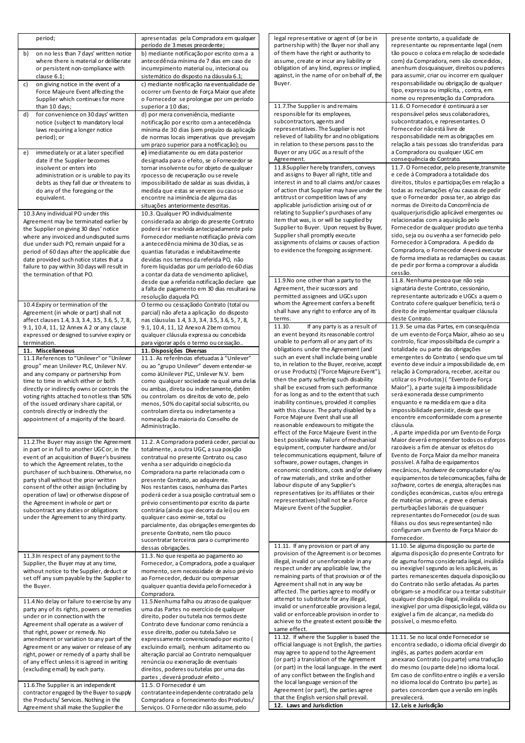| period;                                                                                     | apresentadas pela Compradora em qualquer<br>período de 3 meses precedente;                | legal representative or agent of (or be in<br>partnership with) the Buyer nor shall any     | presente contarto, a qualidade de<br>representante ou representante legal (nem             |
|---------------------------------------------------------------------------------------------|-------------------------------------------------------------------------------------------|---------------------------------------------------------------------------------------------|--------------------------------------------------------------------------------------------|
| b)<br>on no less than 7 days' written notice                                                | b) mediante notificação por escrito com a a                                               | of them have the right or authority to                                                      | tão pouco o coloca em relação de sociedade                                                 |
| where there is material or deliberate                                                       | antecedência mínima de 7 dias em caso de                                                  | assume, create or incur any liability or                                                    | com) da Compradora, nem são concedidos,                                                    |
| or persistent non-compliance with<br>clause 6.1;                                            | incumrpimento material ou, intecional ou<br>sistemático do disposto na dáusula 6.1;       | obligation of any kind, express or implied,<br>against, in the name of or on behalf of, the | anenhum dosquaisquer, direitos ou poderes<br>para assumir, criar ou incorrer em qualquer   |
| on giving notice in the event of a<br>c)                                                    | c) mediante notificação na eventualidade de                                               | Buyer.                                                                                      | responsabilidade ou obrigação de qualquer                                                  |
| Force Majeure Event affecting the                                                           | ocorrer um Evento de Força Maior que afete                                                |                                                                                             | tipo, expressa ou implícita, , contra, em                                                  |
| Supplier which continues for more<br>than 10 days;                                          | o Fornecedor se prolongue por um período<br>superior a 10 dias;                           | 11.7. The Supplier is and remains                                                           | nome ou representação da Compradora.<br>11.6. O Fornecedor é continuará a ser              |
| for convenience on 30 days' written<br>d)                                                   | d) por mera conveniência, mediante                                                        | responsible for its employees,                                                              | responsável pelos seus colaboradores,                                                      |
| notice (subject to mandatory local                                                          | notificação por escrito com a antecedência                                                | subcontractors, agents and                                                                  | subcontratados, e representantes. O                                                        |
| laws requiring a longer notice<br>period); or                                               | mínima de 30 dias (sem prejuízo da aplicação<br>de normas locais imperativas que prevejam | representatives. The Supplier is not<br>relieved of liability for and no obligations        | Fornecedor não está livre de<br>responsabilidade nem as obrigações em                      |
|                                                                                             | um prazo superior para a notificação); ou                                                 | in relation to these persons pass to the                                                    | relação a tais pessoas são transferidas para                                               |
| immediately or at a later specified<br>e)                                                   | e) imediatamente ou em data posterior                                                     | Buyer or any UGC as a result of the                                                         | a Compradora ou qualquer UGC em                                                            |
| date if the Supplier becomes                                                                | designada para o efeito, se o Fornecedor se                                               | Agreement.                                                                                  | consequência do Contrato.                                                                  |
| insolvent or enters into<br>administration or is unable to pay its                          | tornar insolvente ou for objeto de qualquer<br>rpocesso de recuperação ou se revele       | 11.8 Supplier hereby transfers, conveys<br>and assigns to Buyer all right, title and        | 11.7. O Fornecedor, pelo presente, transmite<br>e cede à Compradora a totalidade dos       |
| debts as they fall due or threatens to                                                      | impossibilitado de saldar as suas dívidas, à                                              | interest in and to all claims and/or causes                                                 | direitos, títulos e participações em relação a                                             |
| do any of the foregoing or the                                                              | medida que estas se vencem ou caso se                                                     | of action that Supplier may have under the                                                  | todas as reclamações e/ou causas de pedir                                                  |
| equivalent.                                                                                 | encontre na iminência de alguma das<br>situações anteriormente descritas.                 | antitrust or competition laws of any<br>applicable jurisdiction arising out of or           | que o Fornecedor possa ter, ao abrigo das<br>normas de Direito da Concorrência de          |
| 10.3 Any individual PO under this                                                           | 10.3. Qualquer PO individualmente                                                         | relating to Supplier's purchases of any                                                     | qualquerjurisdição aplicável emergentes ou                                                 |
| Agreement may be terminated earlier by                                                      | considerada ao abrigo do presente Contrato                                                | item that was, is or will be supplied by                                                    | relacionadas com a aquisição pelo                                                          |
| the Supplier on giving 30 days' notice                                                      | poderá ser resolvida antecipadamente pelo                                                 | Supplier to Buyer. Upon request by Buyer,<br>Supplier shall promptly execute                | Fornecedor de qualquer produto que tenha<br>sido, seja ou ou venha a ser fornecido pelo    |
| where any invoiced and undisputed sums<br>due under such PO, remain unpaid for a            | Fornecedor mediante notificação prévia com<br>a antecedência mínima de 30 dias, se as     | assignments of claims or causes of action                                                   | Fornecedor à Compradora. A pedido da                                                       |
| period of 60 days after the applicable due                                                  | quantias faturadas e indubitavelmente                                                     | to evidence the foregoing assignment.                                                       | Compradora, o Fornecedor deverá executar                                                   |
| date provided such notice states that a                                                     | devidas nos termos da referida PO, não                                                    |                                                                                             | de forma imediata as redamações ou causas<br>de pedir por forma a comprovar a aludida      |
| failure to pay within 30 days will result in<br>the termination of that PO.                 | forem liquidadas por um período de 60 dias<br>a contar da data de vencimento aplicável,   |                                                                                             | cessão.                                                                                    |
|                                                                                             | desde que a referida notificação declare que                                              | 11.9 No one other than a party to the                                                       | 11.8. Nenhuma pessoa que não seja                                                          |
|                                                                                             | a falta de pagamento em 30 dias resultará na                                              | Agreement, their successors and                                                             | signatária deste Contrato, cessionário,                                                    |
|                                                                                             | resolução daquela PO.                                                                     | permitted assignees and UGCs upon<br>whom the Agreement confers a benefit                   | representante autorizado e UGCs a quem o<br>Contrato cofere qualquer benefício, terá o     |
| 10.4 Expiry or termination of the<br>Agreement (in whole or part) shall not                 | O termo ou cessaçãodo Contrato (total ou<br>parcial) não afeta a aplicação do disposto    | shall have any right to enforce any of its                                                  | direito de implementar qualquer cláusula                                                   |
| affect clauses 1.4, 3.3, 3.4, 3.5, 3.6, 5, 7, 8,                                            | nas cláusulas 1.4, 3.3, 3.4, 3.5, 3.6, 5, 7, 8,                                           | terms.                                                                                      | deste Contrato.                                                                            |
| 9.1, 10.4, 11, 12 Annex A 2 or any clause                                                   | 9.1, 10.4, 11, 12 Anexo A 2 bem comou                                                     | If any party is as a result of<br>11.10.                                                    | 11.9. Se uma das Partes, em consequência                                                   |
| expressed or designed to survive expiry or                                                  | qualquer cláusula expressa ou concebida                                                   | an event beyond its reasonable control<br>unable to perform all or any part of its          | de um evento de Força Maior, alheio ao seu<br>controlo, ficar impossibiltada de cumprir a  |
| termination.<br>11. Miscellaneous                                                           | para vigorar após o termo ou cessação<br>11. Disposições Diversas                         | obligations under the Agreement (and                                                        | totalidade ou parte das obrigações                                                         |
| 11.1 References to "Unilever" or "Unilever                                                  | 11.1. As referências efetuadas à "Unilever"                                               | such an event shall include being unable                                                    | emergentes do Contrato (sendo que um tal                                                   |
|                                                                                             |                                                                                           |                                                                                             |                                                                                            |
| group" mean Unilever PLC, Unilever N.V.                                                     | ou ao "grupo Unilever" devem entender-se                                                  | to, in relation to the Buyer, receive, accept                                               | evento deve induir a impossibilidade de, em                                                |
| and any company or partnership from                                                         | como àUnilever PLC, Unilever N.V. bem                                                     | or use Products) ("Force Majeure Event"),                                                   | relação à Compradora, receber, aceitar ou                                                  |
| time to time in which either or both                                                        | como qualquer sociedade na qual uma delas                                                 | then the party suffering such disability<br>shall be excused from such performance          | utilizar os Produtos) ("Evento de Força<br>Maior"), a parte sujeita à impossibilidade      |
| directly or indirectly owns or controls the<br>voting rights attached to notless than 50%   | ou ambas, direta ou indiretamente, detêm<br>ou controlam os direitos de voto de, pelo     | for as long as and to the extent that such                                                  | será exonerada desse cumprimento                                                           |
| of the issued ordinary share capital, or                                                    | menos, 50% do capital social subscrito, ou                                                | inability continues, provided it complies                                                   | enquanto e na medida em que a dita                                                         |
| controls directly or indirectly the                                                         | controlam direta ou indiretamente a                                                       | with this clause. The party disabled by a<br>Force Majeure Event shall use all              | impossibilidade persistir, desde que se<br>encontre em conformidade com a presente         |
| appointment of a majority of the board.                                                     | nomeação da maioria do Conselho de<br>Administração.                                      | reasonable endeavours to mitigate the                                                       | cláusula.                                                                                  |
|                                                                                             |                                                                                           | effect of the Force Majeure Event in the                                                    | , A parte impedida por um Evento de Força                                                  |
| 11.2. The Buyer may assign the Agreement                                                    | 11.2. A Compradora poderá ceder, parcial ou                                               | best possible way. Failure of mechanical                                                    | Maior deverá empreender todos os esforços<br>razoáveis a fim de atenuar os efeitos do      |
| in part or in full to another UGC or, in the<br>event of an acquisition of Buyer's business | totalmente, a outra UGC, a sua posição                                                    | equipment, computer hardware and/or<br>telecommunications equipment, failure of             | Evento de Força Maior da melhor maneira                                                    |
| to which the Agreement relates, to the                                                      | contratual no presente Contrato ou, caso<br>venha a ser adquirido o negócio da            | software, power outages, changes in                                                         | possível. A falha de equipamentos                                                          |
| purchaser of such business. Otherwise, no                                                   | Compradora na parte relacionada com o                                                     | economic conditions, costs and/or delivery                                                  | mecânicos, hardware de computador e/ou                                                     |
| party shall without the prior written                                                       | presente Contrato, ao adquirente.                                                         | of raw materials, and strike and other<br>labour dispute of any Supplier's                  | equipamentos de telecomunicações, falha de<br>software, cortes de energia, alterações nas  |
| consent of the other assign (including by<br>operation of law) or otherwise dispose of      | Nos restantes casos, nenhuma das Partes<br>poderá ceder a sua posição contratual sem o    | representatives (or its affiliates or their                                                 | condições económicas, custos e/ou entrega                                                  |
| the Agreement in whole or part or                                                           | prévio consentimento por escrito da parte                                                 | representatives) shall not be a Force                                                       | de matérias primas, e greve e demais                                                       |
| subcontract any duties or obligations                                                       | contrária (ainda que decorra da lei) ou em                                                | Majeure Event of the Supplier.                                                              | perturbações laborais de quaisquer                                                         |
| under the Agreement to any third party.                                                     | qualquer caso eximir-se, total ou                                                         |                                                                                             | representantes do Fornecedor (ou de suas<br>filiaiss ou dos seus representantes) não       |
|                                                                                             | parcialmente, das obrigações emergentes do<br>presente Contrato, nem tão pouco            |                                                                                             | configuram um Evento de Força Maior do                                                     |
|                                                                                             | sucontratar terceiros para o cumprimento                                                  |                                                                                             | Fornecedor.                                                                                |
|                                                                                             | dessas obrigações.                                                                        | 11.11. If any provision or part of any<br>provision of the Agreement is or becomes          | 11.10. Se alguma disposição ou parte de<br>alguma disposição do presente Contrato for      |
| 11.3 In respect of any payment to the                                                       | 11.3. No que respeita ao pagamento ao                                                     | illegal, invalid or unenforceable in any                                                    | de aguma forma considerada ilegal, inválida                                                |
| Supplier, the Buyer may at any time,<br>without notice to the Supplier, deduct or           | Fornecedor, a Compradora, pode a qualquer<br>momento, sem necessidade de aviso prévio     | respect under any applicable law, the                                                       | ou inexigível segundo as leis aplicáveis, as                                               |
| set off any sum payable by the Supplier to                                                  | ao Fornecedor, deduzir ou compensar                                                       | remaining parts of that provision or of the                                                 | partes remanescentes daquela disposição ou                                                 |
| the Buyer.                                                                                  | qualquer quantia devida pelo Fornecedor à                                                 | Agreement shall not in any way be<br>affected. The parties agree to modify or               | do Contrato não serão afetadas. As partes<br>obrigam-se a modificar ou a tentar substituir |
| 11.4 No delay or failure to exercise by any                                                 | Compradora.<br>11.5 Nenhuma falha ou atraso de qualquer                                   | attempt to substitute for any illegal,                                                      | qualquer disposição ilegal, inválida ou                                                    |
| party any of its rights, powers or remedies                                                 | uma das Partes no exercício de qualquer                                                   | invalid or unenforceable provision a legal,                                                 | inexigível por uma disposição legal, válida ou                                             |
| under or in connection with the                                                             | direito, poder ou tutela nos termos deste                                                 | valid or enforceable provision in order to<br>achieve to the greatest extent possible the   | exigível a fim de alcançar, na medida do<br>possível, o mesmo efeito.                      |
| Agreement shall operate as a waiver of<br>that right, power or remedy. No                   | Contrato deve funcionar como renúncia a<br>esse direito, poder ou tutela. Salvo se        | same effect.                                                                                |                                                                                            |
| amendment or variation to any part of the                                                   | expressamente convencionado por escrito (                                                 | 11.12. If where the Supplier is based the                                                   | 11.11. Se no local onde Fornecedor se                                                      |
| Agreement or any waiver or release of any                                                   | excluindo email), nenhum aditamento ou                                                    | official language is not English, the parties                                               | encontra sediado, o idioma oficial divergir do                                             |
| right, power or remedy of a party shall be<br>of any effect unless it is agreed in writing  | alteração parcial ao Contrato nemqualquer                                                 | may agree to append to the Agreement<br>(or part) a translation of the Agreement            | inglês, as partes podem acordar em<br>anexarao Contrato (ou parte) uma tradução            |
| (excluding email) by each party.                                                            | renúncia ou exoneração de eventuais<br>direitos, poderes ou tutelas por uma das           | (or part) in the local language. In the event                                               | do mesmo (ou parte dele) no idioma local.                                                  |
|                                                                                             | partes, deverá produzir efeito.,                                                          | of any conflict between the English and                                                     | Em caso de conflito entre o inglês e a versão                                              |
| 11.6. The Supplier is an independent                                                        | 11.5. O Fornecedor é um                                                                   | the local language version of the<br>Agreement (or part), the parties agree                 | no idioma local do Contrato (ou parte), as<br>partes concordam que a versão em inglês      |
| contractor engaged by the Buyer to supply<br>the Products/ Services. Nothing in the         | contratante e independente contratado pela<br>Compradora o fornecimento dos Produtos/     | that the English version shall prevail.<br>12. Laws and Jurisdiction                        | prevalecerá.<br>12. Leis e Jurisdição                                                      |